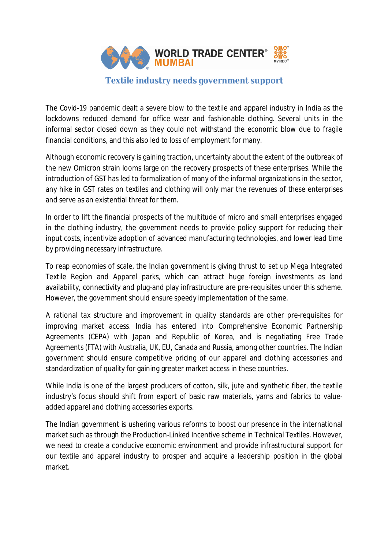

The Covid-19 pandemic dealt a severe blow to the textile and apparel industry in India as the lockdowns reduced demand for office wear and fashionable clothing. Several units in the informal sector closed down as they could not withstand the economic blow due to fragile financial conditions, and this also led to loss of employment for many.

Although economic recovery is gaining traction, uncertainty about the extent of the outbreak of the new Omicron strain looms large on the recovery prospects of these enterprises. While the introduction of GST has led to formalization of many of the informal organizations in the sector, any hike in GST rates on textiles and clothing will only mar the revenues of these enterprises and serve as an existential threat for them.

In order to lift the financial prospects of the multitude of micro and small enterprises engaged in the clothing industry, the government needs to provide policy support for reducing their input costs, incentivize adoption of advanced manufacturing technologies, and lower lead time by providing necessary infrastructure.

To reap economies of scale, the Indian government is giving thrust to set up Mega Integrated Textile Region and Apparel parks, which can attract huge foreign investments as land availability, connectivity and plug-and play infrastructure are pre-requisites under this scheme. However, the government should ensure speedy implementation of the same.

A rational tax structure and improvement in quality standards are other pre-requisites for improving market access. India has entered into Comprehensive Economic Partnership Agreements (CEPA) with Japan and Republic of Korea, and is negotiating Free Trade Agreements (FTA) with Australia, UK, EU, Canada and Russia, among other countries. The Indian government should ensure competitive pricing of our apparel and clothing accessories and standardization of quality for gaining greater market access in these countries.

While India is one of the largest producers of cotton, silk, jute and synthetic fiber, the textile industry's focus should shift from export of basic raw materials, yarns and fabrics to valueadded apparel and clothing accessories exports.

The Indian government is ushering various reforms to boost our presence in the international market such as through the Production-Linked Incentive scheme in Technical Textiles. However, we need to create a conducive economic environment and provide infrastructural support for our textile and apparel industry to prosper and acquire a leadership position in the global market.